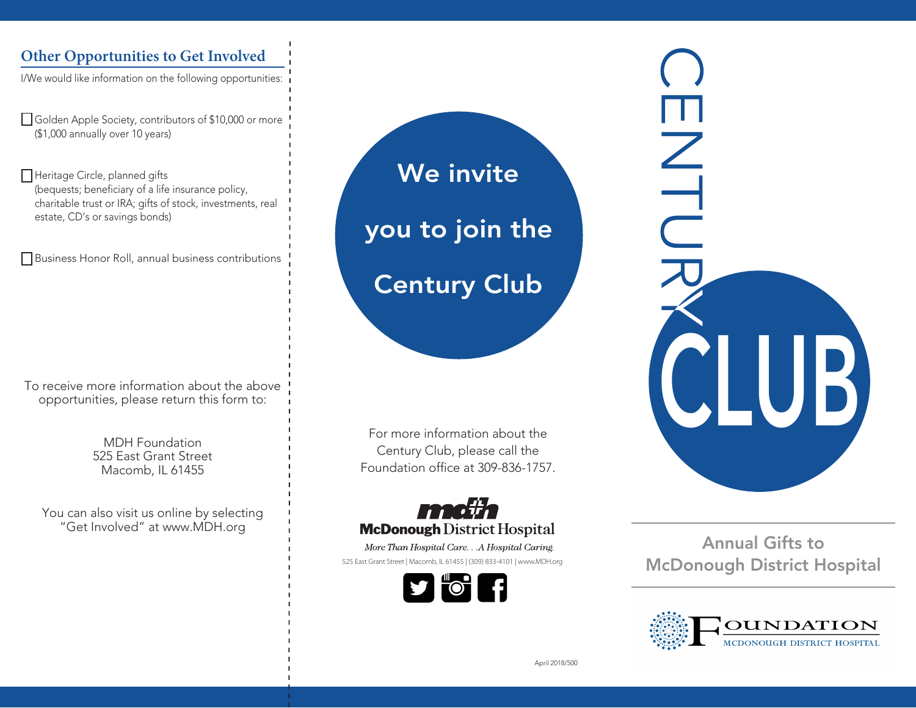### **Other Opportunities to Get Involved**

I/We would like information on the following opportunities:

Golden Apple Society, contributors of \$10,000 or more (\$1,000 annually over 10 years)

Heritage Circle, planned gifts (bequests; beneficiary of a life insurance policy, charitable trust or IRA; gifts of stock, investments, real estate, CD's or savings bonds)

Business Honor Roll, annual business contributions

To receive more information about the above opportunities, please return this form to:

> MDH Foundation 525 East Grant Street Macomb, IL 61455

You can also visit us online by selecting "Get Involved" at www.MDH.org

We invite you to join the Century Club

For more information about the Century Club, please call the Foundation office at 309-836-1757.

# **McDonough** District Hospital

More Than Hospital Care. . . A Hospital Caring. 525 East Grant Street | Macomb, IL 61455 | (309) 833-4101 | www.MDH.org



ENTLI IUI 3

Annual Gifts to McDonough District Hospital